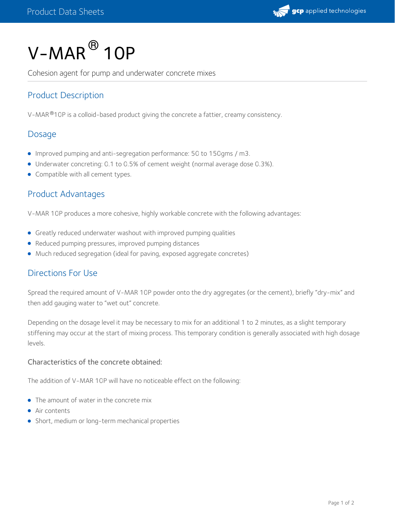

# $V$ – $M$ AR $^\circledR$  10P

Cohesion agent for pump and underwater concrete mixes

## Product Description

V-MAR $^{\circledR}$ 10P is a colloid-based product giving the concrete a fattier, creamy consistency.

#### Dosage

- Improved pumping and anti-segregation performance: 50 to 150gms / m3.
- Underwater concreting: 0.1 to 0.5% of cement weight (normal average dose 0.3%).
- Compatible with all cement types.

#### Product Advantages

V-MAR 10P produces a more cohesive, highly workable concrete with the following advantages:

- Greatly reduced underwater washout with improved pumping qualities
- Reduced pumping pressures, improved pumping distances
- Much reduced segregation (ideal for paving, exposed aggregate concretes)

#### Directions For Use

Spread the required amount of V-MAR 10P powder onto the dry aggregates (or the cement), briefly "dry-mix" and then add gauging water to "wet out" concrete.

Depending on the dosage level it may be necessary to mix for an additional 1 to 2 minutes, as a slight temporary stiffening may occur at the start of mixing process. This temporary condition is generally associated with high dosage levels.

#### Characteristics of the concrete obtained:

The addition of V-MAR 10P will have no noticeable effect on the following:

- The amount of water in the concrete mix
- **Air contents**
- Short, medium or long-term mechanical properties